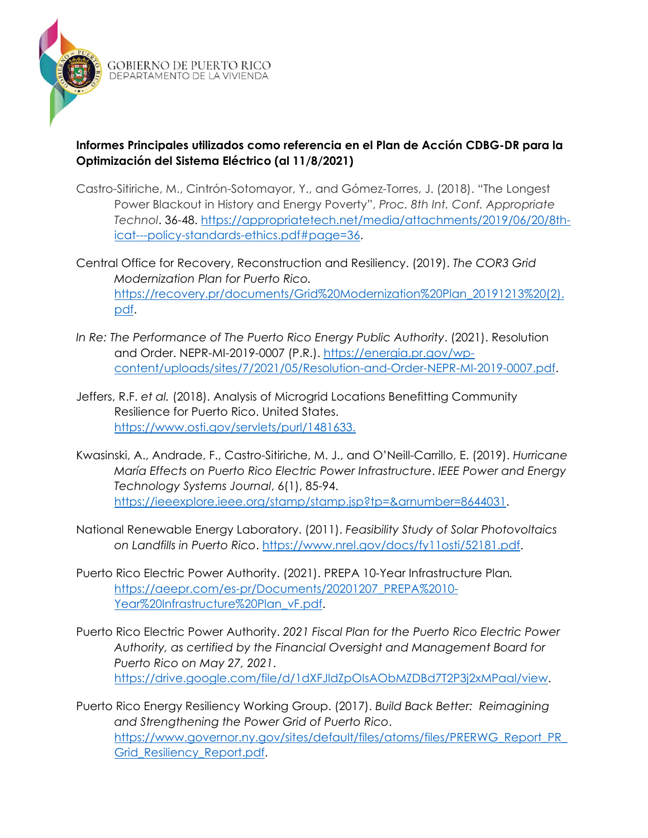

**GOBIERNO DE PUERTO RICO** DEPARTAMENTO DE LA VIVIENDA

## **Informes Principales utilizados como referencia en el Plan de Acción CDBG-DR para la Optimización del Sistema Eléctrico (al 11/8/2021)**

- Castro-Sitiriche, M., Cintrón-Sotomayor, Y., and Gómez-Torres, J. (2018). "The Longest Power Blackout in History and Energy Poverty", *Proc. 8th Int. Conf. Appropriate Technol*. 36-48. [https://appropriatetech.net/media/attachments/2019/06/20/8th](https://appropriatetech.net/media/attachments/2019/06/20/8th-icat---policy-standards-ethics.pdf#page=36)[icat---policy-standards-ethics.pdf#page=36.](https://appropriatetech.net/media/attachments/2019/06/20/8th-icat---policy-standards-ethics.pdf#page=36)
- Central Office for Recovery, Reconstruction and Resiliency. (2019). *The COR3 Grid Modernization Plan for Puerto Rico.* [https://recovery.pr/documents/Grid%20Modernization%20Plan\\_20191213%20\(2\).](https://recovery.pr/documents/Grid%20Modernization%20Plan_20191213%20(2).pdf) [pdf.](https://recovery.pr/documents/Grid%20Modernization%20Plan_20191213%20(2).pdf)
- *In Re: The Performance of The Puerto Rico Energy Public Authority*. (2021). Resolution and Order. NEPR-MI-2019-0007 (P.R.). [https://energia.pr.gov/wp](https://energia.pr.gov/wp-content/uploads/sites/7/2021/05/Resolution-and-Order-NEPR-MI-2019-0007.pdf)[content/uploads/sites/7/2021/05/Resolution-and-Order-NEPR-MI-2019-0007.pdf.](https://energia.pr.gov/wp-content/uploads/sites/7/2021/05/Resolution-and-Order-NEPR-MI-2019-0007.pdf)
- Jeffers, R.F. *et al.* (2018). Analysis of Microgrid Locations Benefitting Community Resilience for Puerto Rico. United States. [https://www.osti.gov/servlets/purl/1481633.](https://www.osti.gov/servlets/purl/1481633)
- Kwasinski, A., Andrade, F., Castro-Sitiriche, M. J., and O'Neill-Carrillo, E. (2019). *Hurricane María Effects on Puerto Rico Electric Power Infrastructure*. *IEEE Power and Energy Technology Systems Journal*, 6(1), 85-94. [https://ieeexplore.ieee.org/stamp/stamp.jsp?tp=&arnumber=8644031.](https://ieeexplore.ieee.org/stamp/stamp.jsp?tp=&arnumber=8644031)
- National Renewable Energy Laboratory. (2011). *Feasibility Study of Solar Photovoltaics on Landfills in Puerto Rico*. [https://www.nrel.gov/docs/fy11osti/52181.pdf.](https://www.nrel.gov/docs/fy11osti/52181.pdf)
- Puerto Rico Electric Power Authority. (2021). PREPA 10-Year Infrastructure Plan*.* [https://aeepr.com/es-pr/Documents/20201207\\_PREPA%2010-](https://aeepr.com/es-pr/Documents/20201207_PREPA%2010-Year%20Infrastructure%20Plan_vF.pdf) [Year%20Infrastructure%20Plan\\_vF.pdf.](https://aeepr.com/es-pr/Documents/20201207_PREPA%2010-Year%20Infrastructure%20Plan_vF.pdf)
- Puerto Rico Electric Power Authority. *2021 Fiscal Plan for the Puerto Rico Electric Power Authority, as certified by the Financial Oversight and Management Board for Puerto Rico on May 27, 2021*. [https://drive.google.com/file/d/1dXFJldZpOIsAObMZDBd7T2P3j2xMPaal/view.](https://drive.google.com/file/d/1dXFJldZpOIsAObMZDBd7T2P3j2xMPaal/view)
- Puerto Rico Energy Resiliency Working Group. (2017). *Build Back Better: Reimagining and Strengthening the Power Grid of Puerto Rico*. [https://www.governor.ny.gov/sites/default/files/atoms/files/PRERWG\\_Report\\_PR\\_](https://www.governor.ny.gov/sites/default/files/atoms/files/PRERWG_Report_PR_Grid_Resiliency_Report.pdf) [Grid\\_Resiliency\\_Report.pdf.](https://www.governor.ny.gov/sites/default/files/atoms/files/PRERWG_Report_PR_Grid_Resiliency_Report.pdf)